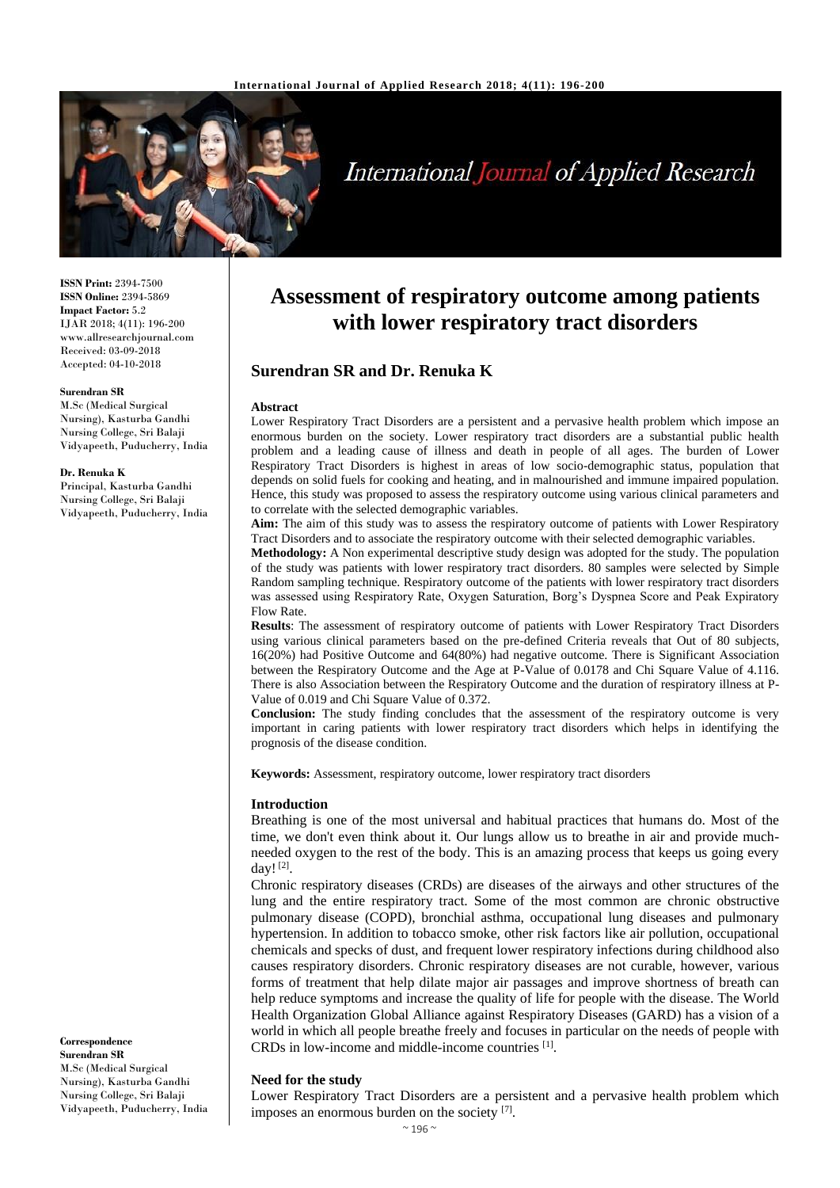

# **International Journal of Applied Research**

**ISSN Print:** 2394-7500 **ISSN Online:** 2394-5869 **Impact Factor:** 5.2 IJAR 2018; 4(11): 196-200 www.allresearchjournal.com Received: 03-09-2018 Accepted: 04-10-2018

#### **Surendran SR**

M.Sc (Medical Surgical Nursing), Kasturba Gandhi Nursing College, Sri Balaji Vidyapeeth, Puducherry, India

#### **Dr. Renuka K**

Principal, Kasturba Gandhi Nursing College, Sri Balaji Vidyapeeth, Puducherry, India

#### **Correspondence Surendran SR** M.Sc (Medical Surgical Nursing), Kasturba Gandhi Nursing College, Sri Balaji Vidyapeeth, Puducherry, India

## **Assessment of respiratory outcome among patients with lower respiratory tract disorders**

## **Surendran SR and Dr. Renuka K**

#### **Abstract**

Lower Respiratory Tract Disorders are a persistent and a pervasive health problem which impose an enormous burden on the society. Lower respiratory tract disorders are a substantial public health problem and a leading cause of illness and death in people of all ages. The burden of Lower Respiratory Tract Disorders is highest in areas of low socio-demographic status, population that depends on solid fuels for cooking and heating, and in malnourished and immune impaired population. Hence, this study was proposed to assess the respiratory outcome using various clinical parameters and to correlate with the selected demographic variables.

**Aim:** The aim of this study was to assess the respiratory outcome of patients with Lower Respiratory Tract Disorders and to associate the respiratory outcome with their selected demographic variables.

**Methodology:** A Non experimental descriptive study design was adopted for the study. The population of the study was patients with lower respiratory tract disorders. 80 samples were selected by Simple Random sampling technique. Respiratory outcome of the patients with lower respiratory tract disorders was assessed using Respiratory Rate, Oxygen Saturation, Borg's Dyspnea Score and Peak Expiratory Flow Rate.

**Results**: The assessment of respiratory outcome of patients with Lower Respiratory Tract Disorders using various clinical parameters based on the pre-defined Criteria reveals that Out of 80 subjects, 16(20%) had Positive Outcome and 64(80%) had negative outcome. There is Significant Association between the Respiratory Outcome and the Age at P-Value of 0.0178 and Chi Square Value of 4.116. There is also Association between the Respiratory Outcome and the duration of respiratory illness at P-Value of 0.019 and Chi Square Value of 0.372.

**Conclusion:** The study finding concludes that the assessment of the respiratory outcome is very important in caring patients with lower respiratory tract disorders which helps in identifying the prognosis of the disease condition.

**Keywords:** Assessment, respiratory outcome, lower respiratory tract disorders

#### **Introduction**

Breathing is one of the most universal and habitual practices that humans do. Most of the time, we don't even think about it. Our lungs allow us to breathe in air and provide muchneeded oxygen to the rest of the body. This is an amazing process that keeps us going every day! $^{[2]}$ .

Chronic respiratory diseases (CRDs) are diseases of the airways and other structures of the lung and the entire respiratory tract. Some of the most common are chronic obstructive pulmonary disease (COPD), bronchial asthma, occupational lung diseases and pulmonary hypertension. In addition to tobacco smoke, other risk factors like air pollution, occupational chemicals and specks of dust, and frequent lower respiratory infections during childhood also causes respiratory disorders. Chronic respiratory diseases are not curable, however, various forms of treatment that help dilate major air passages and improve shortness of breath can help reduce symptoms and increase the quality of life for people with the disease. The World Health Organization Global Alliance against Respiratory Diseases (GARD) has a vision of a world in which all people breathe freely and focuses in particular on the needs of people with CRDs in low-income and middle-income countries [1] .

#### **Need for the study**

Lower Respiratory Tract Disorders are a persistent and a pervasive health problem which imposes an enormous burden on the society [7].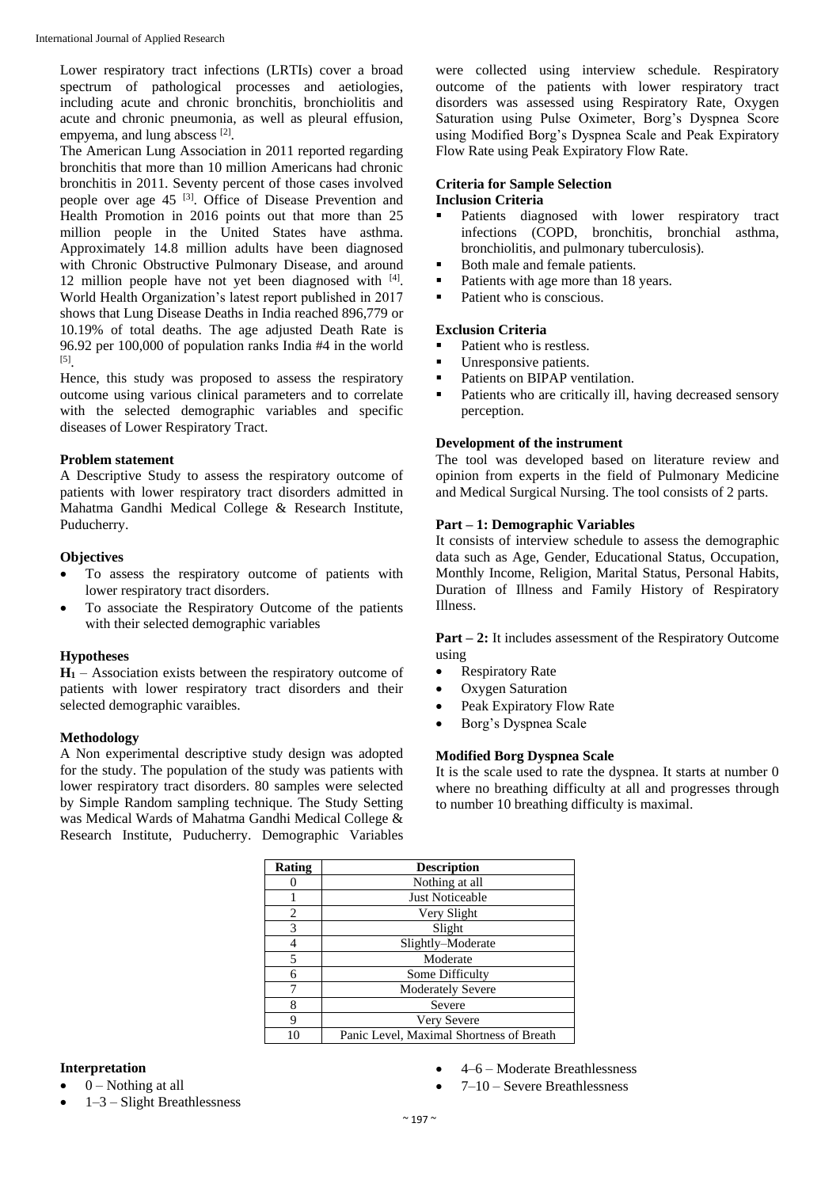Lower respiratory tract infections (LRTIs) cover a broad spectrum of pathological processes and aetiologies, including acute and chronic bronchitis, bronchiolitis and acute and chronic pneumonia, as well as pleural effusion, empyema, and lung abscess [2].

The American Lung Association in 2011 reported regarding bronchitis that more than 10 million Americans had chronic bronchitis in 2011. Seventy percent of those cases involved people over age 45 [3]. Office of Disease Prevention and Health Promotion in 2016 points out that more than 25 million people in the United States have asthma. Approximately 14.8 million adults have been diagnosed with Chronic Obstructive Pulmonary Disease, and around 12 million people have not yet been diagnosed with [4]. World Health Organization's latest report published in 2017 shows that Lung Disease Deaths in India reached 896,779 or 10.19% of total deaths. The age adjusted Death Rate is 96.92 per 100,000 of population ranks India #4 in the world [5] .

Hence, this study was proposed to assess the respiratory outcome using various clinical parameters and to correlate with the selected demographic variables and specific diseases of Lower Respiratory Tract.

## **Problem statement**

A Descriptive Study to assess the respiratory outcome of patients with lower respiratory tract disorders admitted in Mahatma Gandhi Medical College & Research Institute, Puducherry.

## **Objectives**

- To assess the respiratory outcome of patients with lower respiratory tract disorders.
- To associate the Respiratory Outcome of the patients with their selected demographic variables

## **Hypotheses**

 $H_1$  – Association exists between the respiratory outcome of patients with lower respiratory tract disorders and their selected demographic varaibles.

#### **Methodology**

A Non experimental descriptive study design was adopted for the study. The population of the study was patients with lower respiratory tract disorders. 80 samples were selected by Simple Random sampling technique. The Study Setting was Medical Wards of Mahatma Gandhi Medical College & Research Institute, Puducherry. Demographic Variables

were collected using interview schedule. Respiratory outcome of the patients with lower respiratory tract disorders was assessed using Respiratory Rate, Oxygen Saturation using Pulse Oximeter, Borg's Dyspnea Score using Modified Borg's Dyspnea Scale and Peak Expiratory Flow Rate using Peak Expiratory Flow Rate.

## **Criteria for Sample Selection Inclusion Criteria**

- Patients diagnosed with lower respiratory tract infections (COPD, bronchitis, bronchial asthma, bronchiolitis, and pulmonary tuberculosis).
- Both male and female patients.
- Patients with age more than 18 years.
- Patient who is conscious.

#### **Exclusion Criteria**

- Patient who is restless.
- Unresponsive patients.<br>Patients on BIPAP vent
- Patients on BIPAP ventilation.
- Patients who are critically ill, having decreased sensory perception.

#### **Development of the instrument**

The tool was developed based on literature review and opinion from experts in the field of Pulmonary Medicine and Medical Surgical Nursing. The tool consists of 2 parts.

## **Part – 1: Demographic Variables**

It consists of interview schedule to assess the demographic data such as Age, Gender, Educational Status, Occupation, Monthly Income, Religion, Marital Status, Personal Habits, Duration of Illness and Family History of Respiratory Illness.

**Part – 2:** It includes assessment of the Respiratory Outcome using

- Respiratory Rate
- Oxygen Saturation
- Peak Expiratory Flow Rate
- Borg's Dyspnea Scale

## **Modified Borg Dyspnea Scale**

It is the scale used to rate the dyspnea. It starts at number 0 where no breathing difficulty at all and progresses through to number 10 breathing difficulty is maximal.

| <b>Rating</b> | <b>Description</b>                       |
|---------------|------------------------------------------|
|               | Nothing at all                           |
|               | <b>Just Noticeable</b>                   |
| 2             | Very Slight                              |
| 3             | Slight                                   |
| 4             | Slightly-Moderate                        |
| 5             | Moderate                                 |
| 6             | Some Difficulty                          |
|               | <b>Moderately Severe</b>                 |
| 8             | Severe                                   |
| 9             | <b>Very Severe</b>                       |
|               | Panic Level, Maximal Shortness of Breath |

#### **Interpretation**

- $0$  Nothing at all
- 1–3 Slight Breathlessness
- 4–6 Moderate Breathlessness
- 7–10 Severe Breathlessness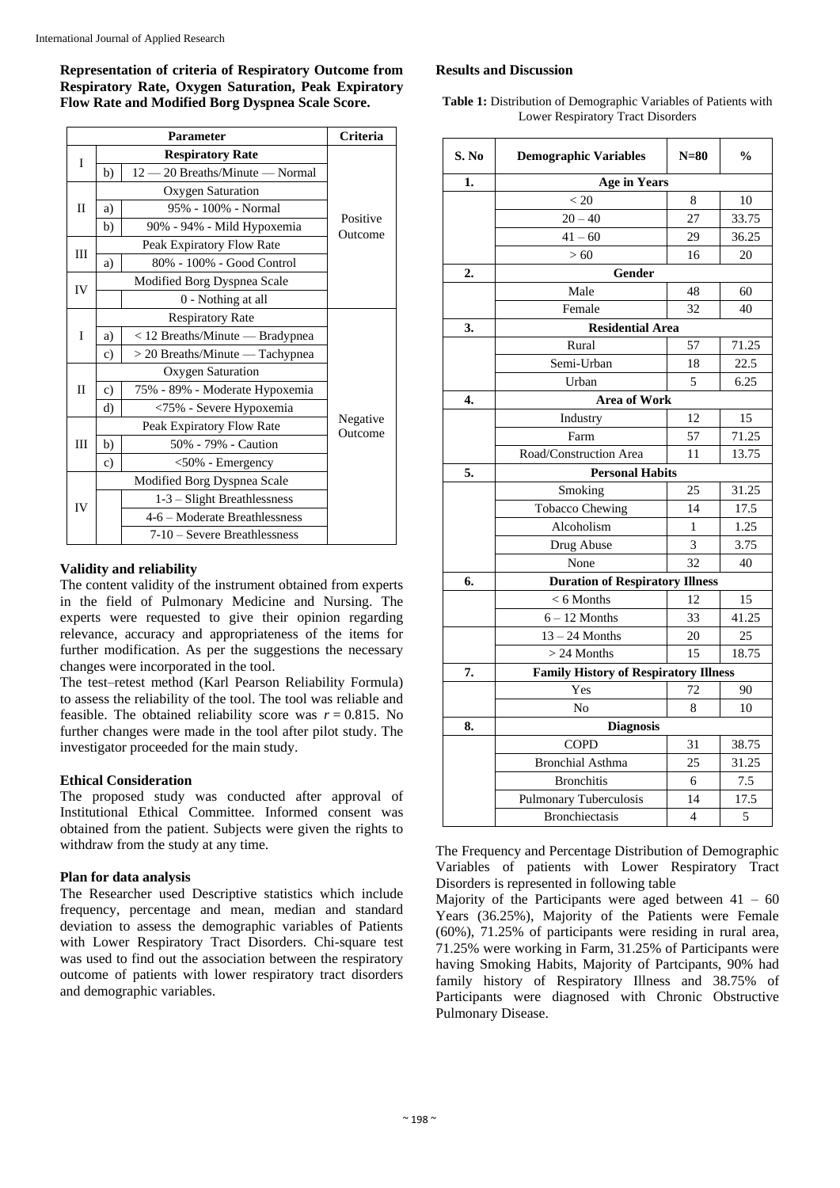**Representation of criteria of Respiratory Outcome from Respiratory Rate, Oxygen Saturation, Peak Expiratory Flow Rate and Modified Borg Dyspnea Scale Score.**

| <b>Parameter</b> |                         |                                 | Criteria            |  |
|------------------|-------------------------|---------------------------------|---------------------|--|
| I                |                         | <b>Respiratory Rate</b>         |                     |  |
|                  | b)                      | 12 - 20 Breaths/Minute - Normal |                     |  |
|                  |                         | Oxygen Saturation               |                     |  |
| $\mathbf{I}$     | a)                      | 95% - 100% - Normal             |                     |  |
|                  | b)                      | 90% - 94% - Mild Hypoxemia      | Positive<br>Outcome |  |
| Ш                |                         | Peak Expiratory Flow Rate       |                     |  |
|                  | a)                      | 80% - 100% - Good Control       |                     |  |
| IV               |                         | Modified Borg Dyspnea Scale     |                     |  |
|                  |                         | 0 - Nothing at all              |                     |  |
|                  | <b>Respiratory Rate</b> |                                 |                     |  |
| I                | a)                      | < 12 Breaths/Minute — Bradypnea |                     |  |
|                  | $\mathbf{c}$ )          | > 20 Breaths/Minute - Tachypnea |                     |  |
|                  |                         | <b>Oxygen Saturation</b>        |                     |  |
| $\mathbf{I}$     | $\mathbf{c})$           | 75% - 89% - Moderate Hypoxemia  |                     |  |
|                  | d)                      | <75% - Severe Hypoxemia         |                     |  |
|                  |                         | Peak Expiratory Flow Rate       | Negative<br>Outcome |  |
| IΙI              | b)                      | 50% - 79% - Caution             |                     |  |
|                  | $\mathbf{c})$           | <50% - Emergency                |                     |  |
|                  |                         | Modified Borg Dyspnea Scale     |                     |  |
| IV               |                         | 1-3 - Slight Breathlessness     |                     |  |
|                  |                         | 4-6 – Moderate Breathlessness   |                     |  |
|                  |                         | 7-10 - Severe Breathlessness    |                     |  |

#### **Validity and reliability**

The content validity of the instrument obtained from experts in the field of Pulmonary Medicine and Nursing. The experts were requested to give their opinion regarding relevance, accuracy and appropriateness of the items for further modification. As per the suggestions the necessary changes were incorporated in the tool.

The test–retest method (Karl Pearson Reliability Formula) to assess the reliability of the tool. The tool was reliable and feasible. The obtained reliability score was  $r = 0.815$ . No further changes were made in the tool after pilot study. The investigator proceeded for the main study.

## **Ethical Consideration**

The proposed study was conducted after approval of Institutional Ethical Committee. Informed consent was obtained from the patient. Subjects were given the rights to withdraw from the study at any time.

#### **Plan for data analysis**

The Researcher used Descriptive statistics which include frequency, percentage and mean, median and standard deviation to assess the demographic variables of Patients with Lower Respiratory Tract Disorders. Chi-square test was used to find out the association between the respiratory outcome of patients with lower respiratory tract disorders and demographic variables.

#### **Results and Discussion**

**Table 1:** Distribution of Demographic Variables of Patients with Lower Respiratory Tract Disorders

| S. No | <b>Demographic Variables</b>                 | $N=80$         | $\frac{0}{0}$ |  |
|-------|----------------------------------------------|----------------|---------------|--|
| 1.    | <b>Age in Years</b>                          |                |               |  |
|       | < 20                                         | 8              | 10            |  |
|       | $20 - 40$                                    | 27             | 33.75         |  |
|       | $41 - 60$                                    | 29             | 36.25         |  |
|       | >60                                          | 16             | 20            |  |
| 2.    | Gender                                       |                |               |  |
|       | Male                                         | 48             | 60            |  |
|       | Female                                       | 32             | 40            |  |
| 3.    | <b>Residential Area</b>                      |                |               |  |
|       | Rural                                        | 57             | 71.25         |  |
|       | Semi-Urban                                   | 18             | 22.5          |  |
|       | Urban                                        | 5              | 6.25          |  |
| 4.    | <b>Area of Work</b>                          |                |               |  |
|       | Industry                                     | 12             | 15            |  |
|       | Farm                                         | 57             | 71.25         |  |
|       | Road/Construction Area                       | 11             | 13.75         |  |
| 5.    | <b>Personal Habits</b>                       |                |               |  |
|       | Smoking                                      | 25             | 31.25         |  |
|       | <b>Tobacco Chewing</b>                       | 14             | 17.5          |  |
|       | Alcoholism                                   | 1              | 1.25          |  |
|       | Drug Abuse                                   | 3              | 3.75          |  |
|       | None                                         | 32             | 40            |  |
| 6.    | <b>Duration of Respiratory Illness</b>       |                |               |  |
|       | $< 6$ Months                                 | 12             | 15            |  |
|       | $6 - 12$ Months                              | 33             | 41.25         |  |
|       | $13 - 24$ Months                             | 20             | 25            |  |
|       | $> 24$ Months                                | 15             | 18.75         |  |
| 7.    | <b>Family History of Respiratory Illness</b> |                |               |  |
|       | Yes                                          | 72             | 90            |  |
|       | N <sub>o</sub>                               | 8              | 10            |  |
| 8.    | <b>Diagnosis</b>                             |                |               |  |
|       | <b>COPD</b>                                  | 31             | 38.75         |  |
|       | <b>Bronchial Asthma</b>                      | 25             | 31.25         |  |
|       | <b>Bronchitis</b>                            | 6              | 7.5           |  |
|       | Pulmonary Tuberculosis                       | 14             | 17.5          |  |
|       | <b>Bronchiectasis</b>                        | $\overline{4}$ | 5             |  |

The Frequency and Percentage Distribution of Demographic Variables of patients with Lower Respiratory Tract Disorders is represented in following table

Majority of the Participants were aged between  $41 - 60$ Years (36.25%), Majority of the Patients were Female (60%), 71.25% of participants were residing in rural area, 71.25% were working in Farm, 31.25% of Participants were having Smoking Habits, Majority of Partcipants, 90% had family history of Respiratory Illness and 38.75% of Participants were diagnosed with Chronic Obstructive Pulmonary Disease.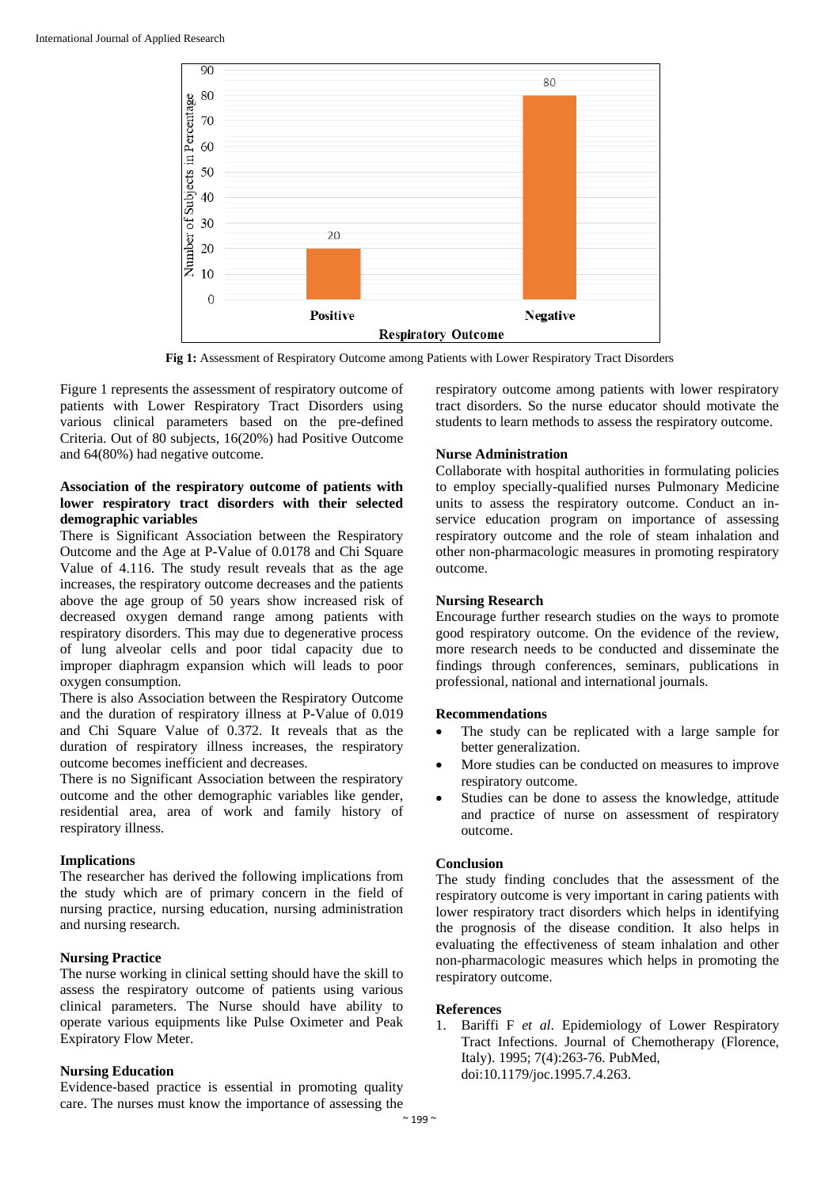

**Fig 1:** Assessment of Respiratory Outcome among Patients with Lower Respiratory Tract Disorders

Figure 1 represents the assessment of respiratory outcome of patients with Lower Respiratory Tract Disorders using various clinical parameters based on the pre-defined Criteria. Out of 80 subjects, 16(20%) had Positive Outcome and 64(80%) had negative outcome.

## **Association of the respiratory outcome of patients with lower respiratory tract disorders with their selected demographic variables**

There is Significant Association between the Respiratory Outcome and the Age at P-Value of 0.0178 and Chi Square Value of 4.116. The study result reveals that as the age increases, the respiratory outcome decreases and the patients above the age group of 50 years show increased risk of decreased oxygen demand range among patients with respiratory disorders. This may due to degenerative process of lung alveolar cells and poor tidal capacity due to improper diaphragm expansion which will leads to poor oxygen consumption.

There is also Association between the Respiratory Outcome and the duration of respiratory illness at P-Value of 0.019 and Chi Square Value of 0.372. It reveals that as the duration of respiratory illness increases, the respiratory outcome becomes inefficient and decreases.

There is no Significant Association between the respiratory outcome and the other demographic variables like gender, residential area, area of work and family history of respiratory illness.

#### **Implications**

The researcher has derived the following implications from the study which are of primary concern in the field of nursing practice, nursing education, nursing administration and nursing research.

## **Nursing Practice**

The nurse working in clinical setting should have the skill to assess the respiratory outcome of patients using various clinical parameters. The Nurse should have ability to operate various equipments like Pulse Oximeter and Peak Expiratory Flow Meter.

## **Nursing Education**

Evidence-based practice is essential in promoting quality care. The nurses must know the importance of assessing the

respiratory outcome among patients with lower respiratory tract disorders. So the nurse educator should motivate the students to learn methods to assess the respiratory outcome.

## **Nurse Administration**

Collaborate with hospital authorities in formulating policies to employ specially-qualified nurses Pulmonary Medicine units to assess the respiratory outcome. Conduct an inservice education program on importance of assessing respiratory outcome and the role of steam inhalation and other non-pharmacologic measures in promoting respiratory outcome.

## **Nursing Research**

Encourage further research studies on the ways to promote good respiratory outcome. On the evidence of the review, more research needs to be conducted and disseminate the findings through conferences, seminars, publications in professional, national and international journals.

## **Recommendations**

- The study can be replicated with a large sample for better generalization.
- More studies can be conducted on measures to improve respiratory outcome.
- Studies can be done to assess the knowledge, attitude and practice of nurse on assessment of respiratory outcome.

## **Conclusion**

The study finding concludes that the assessment of the respiratory outcome is very important in caring patients with lower respiratory tract disorders which helps in identifying the prognosis of the disease condition. It also helps in evaluating the effectiveness of steam inhalation and other non-pharmacologic measures which helps in promoting the respiratory outcome.

## **References**

1. Bariffi F *et al*. Epidemiology of Lower Respiratory Tract Infections. Journal of Chemotherapy (Florence, Italy). 1995; 7(4):263-76. PubMed, doi:10.1179/joc.1995.7.4.263.